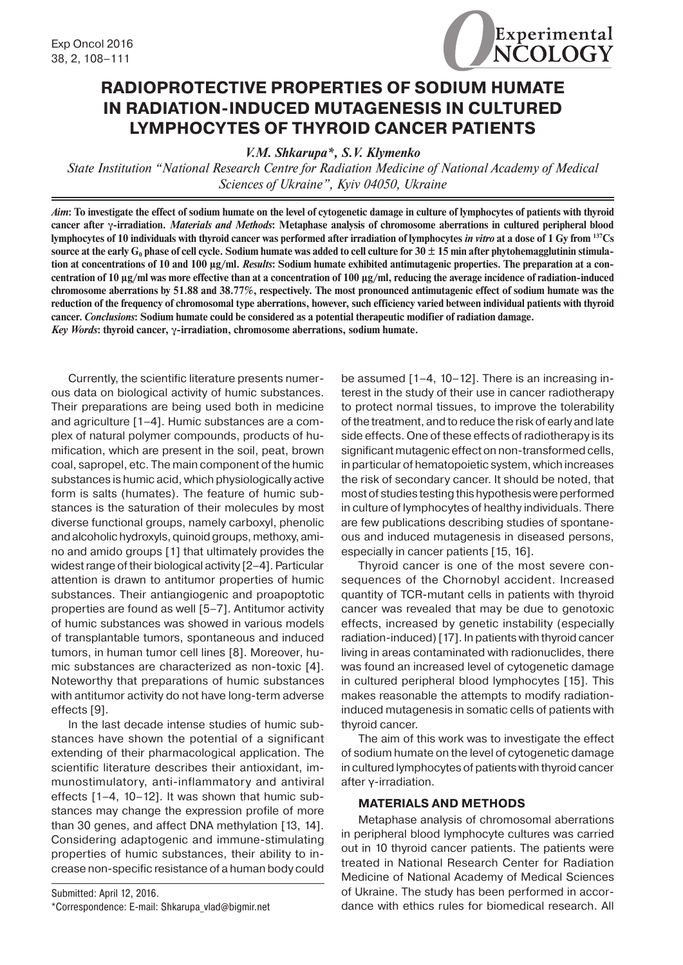

## **RADIOPROTECTIVE PROPERTIES OF SODIUM HUMATE IN RADIATION-INDUCED MUTAGENESIS IN CULTURED LYMPHOCYTES OF THYROID CANCER PATIENTS**

*V.M. Shkarupa\*, S.V. Klymenko*

*State Institution "National Research Centre for Radiation Medicine of National Academy of Medical Sciences of Ukraine", Kyiv 04050, Ukraine*

*Aim***: To investigate the effect of sodium humate on the level of cytogenetic damage in culture of lymphocytes of patients with thyroid cancer after γ-irradiation.** *Materials and Methods***: Metaphase analysis of chromosome aberrations in cultured peripheral blood lymphocytes of 10 individuals with thyroid cancer was performed after irradiation of lymphocytes** *in vitro* **at a dose of 1 Gy from 137Cs**  source at the early G<sub>0</sub> phase of cell cycle. Sodium humate was added to cell culture for  $30 \pm 15$  min after phytohemagglutinin stimula**tion at concentrations of 10 and 100 μg/ml.** *Results***: Sodium humate exhibited antimutagenic properties. The preparation at a concentration of 10 μg/ml was more effective than at a concentration of 100 μg/ml, reducing the average incidence of radiation-induced chromosome aberrations by 51.88 and 38.77%, respectively. The most pronounced antimutagenic effect of sodium humate was the reduction of the frequency of chromosomal type aberrations, however, such efficiency varied between individual patients with thyroid cancer.** *Conclusions***: Sodium humate could be considered as a potential therapeutic modifier of radiation damage.** *Key Words***: thyroid cancer, γ-irradiation, chromosome aberrations, sodium humate.**

Currently, the scientific literature presents numerous data on biological activity of humic substances. Their preparations are being used both in medicine and agriculture [1–4]. Humic substances are a complex of natural polymer compounds, products of humification, which are present in the soil, peat, brown coal, sapropel, etc. The main component of the humic substances is humic acid, which physiologically active form is salts (humates). The feature of humic substances is the saturation of their molecules by most diverse functional groups, namely carboxyl, phenolic and alcoholic hydroxyls, quinoid groups, methoxy, amino and amido groups [1] that ultimately provides the widest range of their biological activity [2–4]. Particular attention is drawn to antitumor properties of humic substances. Their antiangiogenic and proapoptotic properties are found as well [5–7]. Antitumor activity of humic substances was showed in various models of transplantable tumors, spontaneous and induced tumors, in human tumor cell lines [8]. Moreover, humic substances are characterized as non-toxic [4]. Noteworthy that preparations of humic substances with antitumor activity do not have long-term adverse effects [9].

In the last decade intense studies of humic substances have shown the potential of a significant extending of their pharmacological application. The scientific literature describes their antioxidant, immunostimulatory, anti-inflammatory and antiviral effects [1–4, 10–12]. It was shown that humic substances may change the expression profile of more than 30 genes, and affect DNA methylation [13, 14]. Considering adaptogenic and immune-stimulating properties of humic substances, their ability to increase non-specific resistance of a human body could

Submitted: April 12, 2016. \*Correspondence: E-mail: Shkarupa\_vlad@bigmir.net be assumed [1–4, 10–12]. There is an increasing interest in the study of their use in cancer radiotherapy to protect normal tissues, to improve the tolerability of the treatment, and to reduce the risk of early and late side effects. One of these effects of radiotherapy is its significant mutagenic effect on non-transformed cells, in particular of hematopoietic system, which increases the risk of secondary cancer. It should be noted, that most of studies testing this hypothesis were performed in culture of lymphocytes of healthy individuals. There are few publications describing studies of spontaneous and induced mutagenesis in diseased persons, especially in cancer patients [15, 16].

Thyroid cancer is one of the most severe consequences of the Chornobyl accident. Increased quantity of TCR-mutant cells in patients with thyroid cancer was revealed that may be due to genotoxic effects, increased by genetic instability (especially radiation-induced) [17]. In patients with thyroid cancer living in areas contaminated with radionuclides, there was found an increased level of cytogenetic damage in cultured peripheral blood lymphocytes [15]. This makes reasonable the attempts to modify radiationinduced mutagenesis in somatic cells of patients with thyroid cancer.

The aim of this work was to investigate the effect of sodium humate on the level of cytogenetic damage in cultured lymphocytes of patients with thyroid cancer after γ-irradiation.

## **MATERIALS AND METHODS**

Metaphase analysis of chromosomal aberrations in peripheral blood lymphocyte cultures was carried out in 10 thyroid cancer patients. The patients were treated in National Research Center for Radiation Medicine of National Academy of Medical Sciences of Ukraine. The study has been performed in accordance with ethics rules for biomedical research. All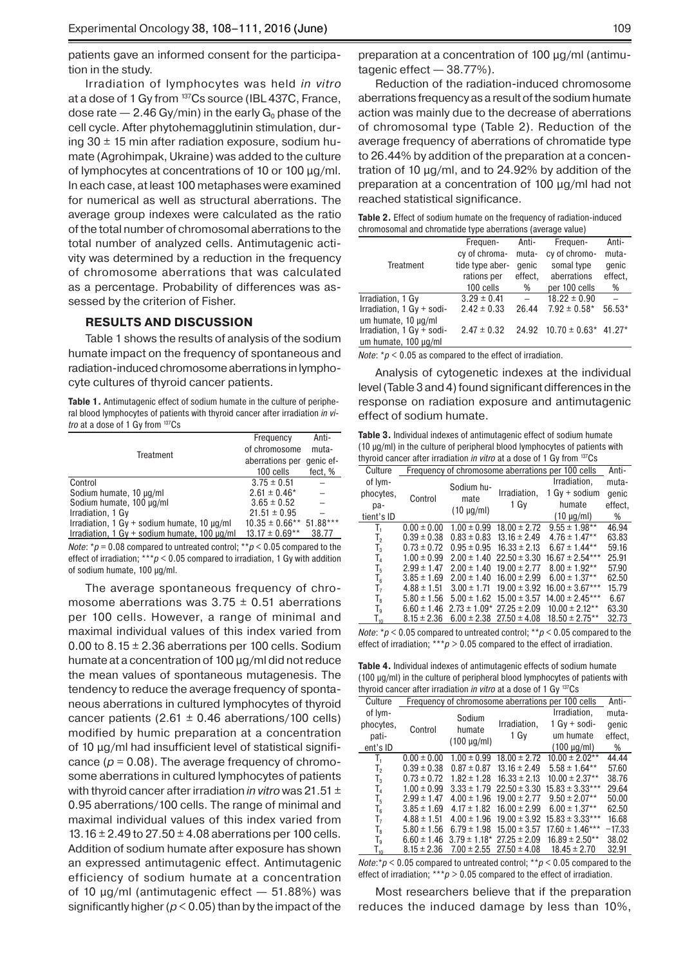patients gave an informed consent for the participation in the study.

Irradiation of lymphocytes was held *in vitro* at a dose of 1 Gy from 137Cs source (IBL 437C, France, dose rate  $-2.46$  Gy/min) in the early G<sub>0</sub> phase of the cell cycle. After phytohemagglutinin stimulation, during  $30 \pm 15$  min after radiation exposure, sodium humate (Agrohіmpak, Ukraine) was added to the culture of lymphocytes at concentrations of 10 or 100 μg/ml. In each case, at least 100 metaphases were examined for numerical as well as structural aberrations. The average group indexes were calculated as the ratio of the total number of chromosomal aberrations to the total number of analyzed cells. Antimutagenic activity was determined by a reduction in the frequency of chromosome aberrations that was calculated as a percentage. Probability of differences was assessed by the criterion of Fisher.

## **RESULTS AND DISCUSSION**

Table 1 shows the results of analysis of the sodium humate impact on the frequency of spontaneous and radiation-induced chromosome aberrations in lymphocyte cultures of thyroid cancer patients.

**Table 1.** Antimutagenic effect of sodium humate in the culture of peripheral blood lymphocytes of patients with thyroid cancer after irradiation *in vitro* at a dose of 1 Gy from 137Cs

|                                                                     | Frequency           | Anti-      |
|---------------------------------------------------------------------|---------------------|------------|
| Treatment                                                           | of chromosome       | muta-      |
|                                                                     | aberrations per     | genic ef-  |
|                                                                     | 100 cells           | fect, %    |
| Control                                                             | $3.75 \pm 0.51$     |            |
| Sodium humate, 10 µg/ml                                             | $2.61 \pm 0.46*$    |            |
| Sodium humate, 100 µg/ml                                            | $3.65 \pm 0.52$     |            |
| Irradiation, 1 Gy                                                   | $21.51 \pm 0.95$    |            |
| Irradiation, $1 \text{ Gy} + \text{sodium humate}$ , $10 \mu q/ml$  | $10.35 \pm 0.66$ ** | $51.88***$ |
| Irradiation, $1 \text{ Gy} + \text{sodium humate}$ , $100 \mu q/ml$ | $13.17 \pm 0.69**$  | 38.77      |

*Note*: \**p* = 0.08 compared to untreated control; \*\**p* < 0.05 compared to the effect of irradiation; \*\*\**р* < 0.05 compared to irradiation, 1 Gy with addition of sodium humate, 100 μg/ml.

The average spontaneous frequency of chromosome aberrations was  $3.75 \pm 0.51$  aberrations per 100 cells. However, a range of minimal and maximal individual values of this index varied from 0.00 to 8.15  $\pm$  2.36 aberrations per 100 cells. Sodium humate at a concentration of 100 μg/ml did not reduce the mean values of spontaneous mutagenesis. The tendency to reduce the average frequency of spontaneous aberrations in cultured lymphocytes of thyroid cancer patients (2.61  $\pm$  0.46 aberrations/100 cells) modified by humic preparation at a concentration of 10 μg/ml had insufficient level of statistical significance  $(p = 0.08)$ . The average frequency of chromosome aberrations in cultured lymphocytes of patients with thyroid cancer after irradiation *in vitro* was 21.51 ± 0.95 aberrations/100 cells. The range of minimal and maximal individual values of this index varied from 13.16  $\pm$  2.49 to 27.50  $\pm$  4.08 aberrations per 100 cells. Addition of sodium humate after exposure has shown an expressed antimutagenic effect. Antimutagenic efficiency of sodium humate at a concentration of 10 μg/ml (antimutagenic effect  $-51.88%$ ) was significantly higher ( $p < 0.05$ ) than by the impact of the

preparation at a concentration of 100 μg/ml (antimutagenic effect — 38.77%).

Reduction of the radiation-induced chromosome aberrations frequency as a result of the sodium humate action was mainly due to the decrease of aberrations of chromosomal type (Table 2). Reduction of the average frequency of aberrations of chromatide type to 26.44% by addition of the preparation at a concentration of 10 μg/ml, and to 24.92% by addition of the preparation at a concentration of 100 μg/ml had not reached statistical significance.

| <b>Table 2.</b> Effect of sodium humate on the frequency of radiation-induced |
|-------------------------------------------------------------------------------|
| chromosomal and chromatide type aberrations (average value)                   |

|                           | Frequen-        | Anti-   | Frequen-                        | Anti-   |
|---------------------------|-----------------|---------|---------------------------------|---------|
|                           | cy of chroma-   | muta-   | cy of chromo-                   | muta-   |
| Treatment                 | tide type aber- | qenic   | somal type                      | qenic   |
|                           | rations per     | effect, | aberrations                     | effect, |
|                           | 100 cells       | %       | per 100 cells                   | %       |
| Irradiation, 1 Gy         | $3.29 \pm 0.41$ |         | $18.22 \pm 0.90$                |         |
| Irradiation, 1 Gy + sodi- | $2.42 \pm 0.33$ | 26.44   | $7.92 \pm 0.58$ *               | 56.53*  |
| um humate, 10 µg/ml       |                 |         |                                 |         |
| Irradiation, 1 Gy + sodi- | $2.47 \pm 0.32$ |         | 24.92 $10.70 \pm 0.63$ * 41.27* |         |
| um humate, 100 µg/ml      |                 |         |                                 |         |

*Note*: \* $p$  < 0.05 as compared to the effect of irradiation.

Analysis of cytogenetic indexes at the individual level (Table 3 and 4) found significant differences in the response on radiation exposure and antimutagenic effect of sodium humate.

**Table 3.** Individual indexes of antimutagenic effect of sodium humate (10 μg/ml) in the culture of peripheral blood lymphocytes of patients with thyroid cancer after irradiation *in vitro* at a dose of 1 Gy from 137Cs

| Culture        | Frequency of chromosome aberrations per 100 cells |                 |                                  | Anti-               |         |
|----------------|---------------------------------------------------|-----------------|----------------------------------|---------------------|---------|
| of lym-        |                                                   | Sodium hu-      |                                  | Irradiation,        | muta-   |
| phocytes,      | Control                                           | mate            | Irradiation,                     | $1 Gy + sodium$     | genic   |
| pa-            |                                                   | $(10 \mu g/ml)$ | 1 Gy                             | humate              | effect, |
| tient's ID     |                                                   |                 |                                  | $(10 \mu g/ml)$     | %       |
| $T_{1}$        | $0.00 \pm 0.00$                                   | $1.00 \pm 0.99$ | $18.00 \pm 2.72$                 | $9.55 \pm 1.98$ **  | 46.94   |
| T <sub>2</sub> | $0.39 \pm 0.38$                                   | $0.83 \pm 0.83$ | $13.16 \pm 2.49$                 | $4.76 \pm 1.47**$   | 63.83   |
| $T_3$          | $0.73 \pm 0.72$                                   | $0.95 \pm 0.95$ | $16.33 \pm 2.13$                 | $6.67 \pm 1.44**$   | 59.16   |
| $T_4$          | $1.00 \pm 0.99$                                   | $2.00 \pm 1.40$ | $22.50 \pm 3.30$                 | $16.67 \pm 2.54***$ | 25.91   |
| T,             | $2.99 \pm 1.47$                                   | $2.00 \pm 1.40$ | $19.00 \pm 2.77$                 | $8.00 \pm 1.92**$   | 57.90   |
| $\mathsf{T}_6$ | $3.85 \pm 1.69$                                   | $2.00 \pm 1.40$ | $16.00 \pm 2.99$                 | $6.00 \pm 1.37**$   | 62.50   |
| T,             | $4.88 \pm 1.51$                                   | $3.00 \pm 1.71$ | $19.00 \pm 3.92$                 | $16.00 \pm 3.67***$ | 15.79   |
| T,             | $5.80 \pm 1.56$                                   |                 | $5.00 \pm 1.62$ 15.00 $\pm 3.57$ | $14.00 \pm 2.45***$ | 6.67    |
| T <sub>9</sub> | $6.60 \pm 1.46$                                   |                 | $2.73 \pm 1.09$ $27.25 \pm 2.09$ | $10.00 \pm 2.12**$  | 63.30   |
| $T_{10}$       | $8.15 \pm 2.36$                                   |                 | $6.00 \pm 2.38$ $27.50 \pm 4.08$ | $18.50 \pm 2.75**$  | 32.73   |
|                |                                                   |                 |                                  |                     |         |

*Note*: \* $p$  < 0.05 compared to untreated control; \*\* $p$  < 0.05 compared to the effect of irradiation; \*\*\**p* > 0.05 compared to the effect of irradiation.

**Table 4.** Individual indexes of antimutagenic effects of sodium humate (100 μg/ml) in the culture of peripheral blood lymphocytes of patients with thyroid cancer after irradiation *in vitro* at a dose of 1 Gy 137Cs

| Culture                    | Frequency of chromosome aberrations per 100 cells |                   |                  | Anti-               |          |
|----------------------------|---------------------------------------------------|-------------------|------------------|---------------------|----------|
| of lym-                    |                                                   | Sodium            |                  | Irradiation,        | muta-    |
| phocytes,                  | Control                                           | humate            | Irradiation,     | $1 Gy + sodi-$      | genic    |
| pati-                      |                                                   |                   | 1 Gy             | um humate           | effect,  |
| ent's ID                   |                                                   | $(100 \mu g/ml)$  |                  | $(100 \mu g/ml)$    | %        |
| T.                         | $0.00 \pm 0.00$                                   | $1.00 \pm 0.99$   | $18.00 \pm 2.72$ | $10.00 \pm 2.02**$  | 44.44    |
| Т,                         | $0.39 \pm 0.38$                                   | $0.87 \pm 0.87$   | $13.16 \pm 2.49$ | $5.58 \pm 1.64**$   | 57.60    |
| $T_3$                      | $0.73 \pm 0.72$                                   | $1.82 \pm 1.28$   | $16.33 \pm 2.13$ | $10.00 \pm 2.37**$  | 38.76    |
| Τ,                         | $1.00 \pm 0.99$                                   | $3.33 \pm 1.79$   | $22.50 \pm 3.30$ | $15.83 \pm 3.33***$ | 29.64    |
| T,                         | $2.99 \pm 1.47$                                   | $4.00 \pm 1.96$   | $19.00 \pm 2.77$ | $9.50 \pm 2.07**$   | 50.00    |
| $\mathsf{T}_6$             | $3.85 \pm 1.69$                                   | $4.17 \pm 1.82$   | $16.00 \pm 2.99$ | $6.00 \pm 1.37**$   | 62.50    |
| T,                         | $4.88 \pm 1.51$                                   | $4.00 \pm 1.96$   | $19.00 \pm 3.92$ | $15.83 \pm 3.33***$ | 16.68    |
| Τ,                         | $5.80 \pm 1.56$                                   | $6.79 \pm 1.98$   | $15.00 \pm 3.57$ | $17.60 \pm 1.46***$ | $-17.33$ |
| T,                         | $6.60 \pm 1.46$                                   | $3.79 \pm 1.18^*$ | $27.25 \pm 2.09$ | $16.89 \pm 2.50**$  | 38.02    |
| $\mathsf{T}_{\mathsf{10}}$ | $8.15 \pm 2.36$                                   | $7.00 \pm 2.55$   | $27.50 \pm 4.08$ | $18.45 \pm 2.70$    | 32.91    |

*Note*:\**р* < 0.05 compared to untreated control; \*\**p* < 0.05 compared to the effect of irradiation; \*\*\**p* > 0.05 compared to the effect of irradiation.

Most researchers believe that if the preparation reduces the induced damage by less than 10%,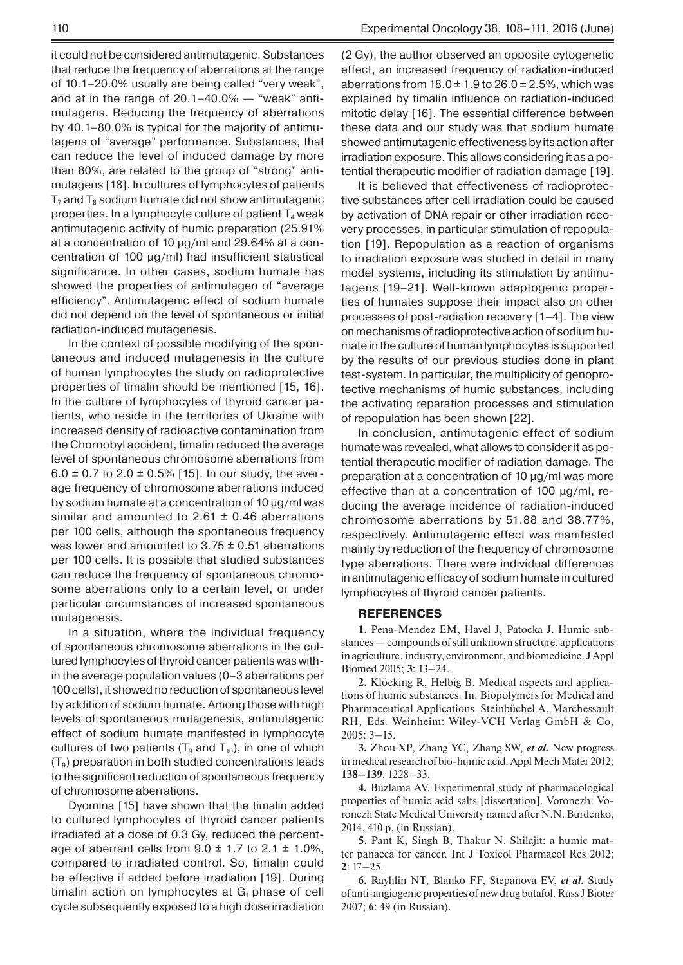it could not be considered antimutagenic. Substances that reduce the frequency of aberrations at the range of 10.1–20.0% usually are being called "very weak", and at in the range of  $20.1-40.0\%$  — "weak" antimutagens. Reducing the frequency of aberrations by 40.1–80.0% is typical for the majority of antimutagens of "average" performance. Substances, that can reduce the level of induced damage by more than 80%, are related to the group of "strong" antimutagens [18]. In cultures of lymphocytes of patients  $T_7$  and  $T_8$  sodium humate did not show antimutagenic properties. In a lymphocyte culture of patient  $T_4$  weak antimutagenic activity of humic preparation (25.91% at a concentration of 10 μg/ml and 29.64% at a concentration of 100 μg/ml) had insufficient statistical significance. In other cases, sodium humate has showed the properties of antimutagen of "average efficiency". Antimutagenic effect of sodium humate did not depend on the level of spontaneous or initial radiation-induced mutagenesis.

In the context of possible modifying of the spontaneous and induced mutagenesis in the culture of human lymphocytes the study on radioprotective properties of timalin should be mentioned [15, 16]. In the culture of lymphocytes of thyroid cancer patients, who reside in the territories of Ukraine with increased density of radioactive contamination from the Chornobyl accident, timalin reduced the average level of spontaneous chromosome aberrations from  $6.0 \pm 0.7$  to  $2.0 \pm 0.5\%$  [15]. In our study, the average frequency of chromosome aberrations induced by sodium humate at a concentration of 10 μg/ml was similar and amounted to 2.61  $\pm$  0.46 aberrations per 100 cells, although the spontaneous frequency was lower and amounted to  $3.75 \pm 0.51$  aberrations per 100 cells. It is possible that studied substances can reduce the frequency of spontaneous chromosome aberrations only to a certain level, or under particular circumstances of increased spontaneous mutagenesis.

In a situation, where the individual frequency of spontaneous chromosome aberrations in the cultured lymphocytes of thyroid cancer patients was within the average population values (0–3 aberrations per 100 cells), it showed no reduction of spontaneous level by addition of sodium humate. Among those with high levels of spontaneous mutagenesis, antimutagenic effect of sodium humate manifested in lymphocyte cultures of two patients ( $T_9$  and  $T_{10}$ ), in one of which  $(T<sub>9</sub>)$  preparation in both studied concentrations leads to the significant reduction of spontaneous frequency of chromosome aberrations.

Dyomina [15] have shown that the timalin added to cultured lymphocytes of thyroid cancer patients irradiated at a dose of 0.3 Gy, reduced the percentage of aberrant cells from  $9.0 \pm 1.7$  to  $2.1 \pm 1.0\%$ , compared to irradiated control. So, timalin could be effective if added before irradiation [19]. During timalin action on lymphocytes at  $G_1$  phase of cell cycle subsequently exposed to a high dose irradiation (2 Gy), the author observed an opposite cytogenetic effect, an increased frequency of radiation-induced aberrations from  $18.0 \pm 1.9$  to  $26.0 \pm 2.5$ %, which was explained by timalin influence on radiation-induced mitotic delay [16]. The essential difference between these data and our study was that sodium humate showed antimutagenic effectiveness by its action after irradiation exposure. This allows considering it as a potential therapeutic modifier of radiation damage [19].

It is believed that effectiveness of radioprotective substances after cell irradiation could be caused by activation of DNA repair or other irradiation recovery processes, in particular stimulation of repopulation [19]. Repopulation as a reaction of organisms to irradiation exposure was studied in detail in many model systems, including its stimulation by antimutagens [19–21]. Well-known adaptogenic properties of humates suppose their impact also on other processes of post-radiation recovery [1–4]. The view on mechanisms of radioprotective action of sodium humate in the culture of human lymphocytes is supported by the results of our previous studies done in plant test-system. In particular, the multiplicity of genoprotective mechanisms of humic substances, including the activating reparation processes and stimulation of repopulation has been shown [22].

In conclusion, antimutagenic effect of sodium humate was revealed, what allows to consider it as potential therapeutic modifier of radiation damage. The preparation at a concentration of 10 μg/ml was more effective than at a concentration of 100 μg/ml, reducing the average incidence of radiation-induced chromosome aberrations by 51.88 and 38.77%, respectively. Antimutagenic effect was manifested mainly by reduction of the frequency of chromosome type aberrations. There were individual differences in antimutagenic efficacy of sodium humate in cultured lymphocytes of thyroid cancer patients.

## **REFERENCES**

**1.** Pena-Mendez EM, Havel J, Patocka J. Humic substances — compounds of still unknown structure: applications in agriculture, industry, environment, and biomedicine. J Appl Biomed 2005; **3**: 13–24.

**2.** Klöcking R, Helbig B. Medical aspects and applications of humic substances. In: Biopolymers for Medical and Pharmaceutical Applications. Steinbüchel A, Marchessault RH, Eds. Weinheim: Wiley-VCH Verlag GmbH & Co, 2005: 3–15.

**3.** Zhou XP, Zhang YC, Zhang SW, *et al.* New progress in medical research of bio-humic acid. Appl Mech Mater 2012; **138–139**: 1228–33.

**4.** Buzlama AV. Experimental study of pharmacological properties of humic acid salts [dissertation]. Voronezh: Voronezh State Medical University named after N.N. Burdenko, 2014. 410 p. (in Russian).

**5.** Pant K, Singh B, Thakur N. Shilajit: a humic matter panacea for cancer. Int J Toxicol Pharmacol Res 2012; **2**: 17–25.

**6.** Rayhlin NT, Blanko FF, Stepanova EV, *et al.* Study of anti-angiogenic properties of new drug butafol. Russ J Bioter 2007; **6**: 49 (in Russian).